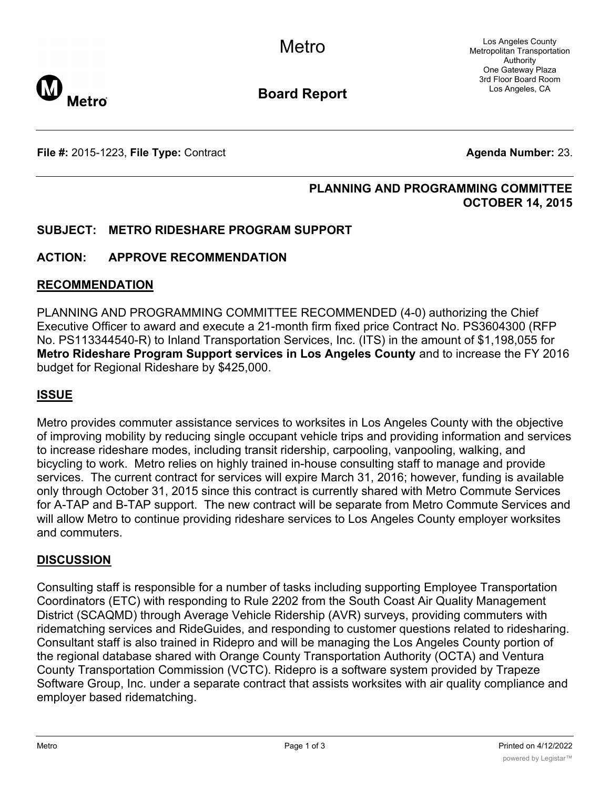Los Angeles County Metropolitan Transportation Authority One Gateway Plaza 3rd Floor Board Room Los Angeles, CA



**Board Report**

**File #:** 2015-1223, File Type: Contract **Agents Agenda Number:** 23.

### **PLANNING AND PROGRAMMING COMMITTEE OCTOBER 14, 2015**

### **SUBJECT: METRO RIDESHARE PROGRAM SUPPORT**

### **ACTION: APPROVE RECOMMENDATION**

#### **RECOMMENDATION**

PLANNING AND PROGRAMMING COMMITTEE RECOMMENDED (4-0) authorizing the Chief Executive Officer to award and execute a 21-month firm fixed price Contract No. PS3604300 (RFP No. PS113344540-R) to Inland Transportation Services, Inc. (ITS) in the amount of \$1,198,055 for **Metro Rideshare Program Support services in Los Angeles County** and to increase the FY 2016 budget for Regional Rideshare by \$425,000.

### **ISSUE**

Metro provides commuter assistance services to worksites in Los Angeles County with the objective of improving mobility by reducing single occupant vehicle trips and providing information and services to increase rideshare modes, including transit ridership, carpooling, vanpooling, walking, and bicycling to work. Metro relies on highly trained in-house consulting staff to manage and provide services. The current contract for services will expire March 31, 2016; however, funding is available only through October 31, 2015 since this contract is currently shared with Metro Commute Services for A-TAP and B-TAP support. The new contract will be separate from Metro Commute Services and will allow Metro to continue providing rideshare services to Los Angeles County employer worksites and commuters.

#### **DISCUSSION**

Consulting staff is responsible for a number of tasks including supporting Employee Transportation Coordinators (ETC) with responding to Rule 2202 from the South Coast Air Quality Management District (SCAQMD) through Average Vehicle Ridership (AVR) surveys, providing commuters with ridematching services and RideGuides, and responding to customer questions related to ridesharing. Consultant staff is also trained in Ridepro and will be managing the Los Angeles County portion of the regional database shared with Orange County Transportation Authority (OCTA) and Ventura County Transportation Commission (VCTC). Ridepro is a software system provided by Trapeze Software Group, Inc. under a separate contract that assists worksites with air quality compliance and employer based ridematching.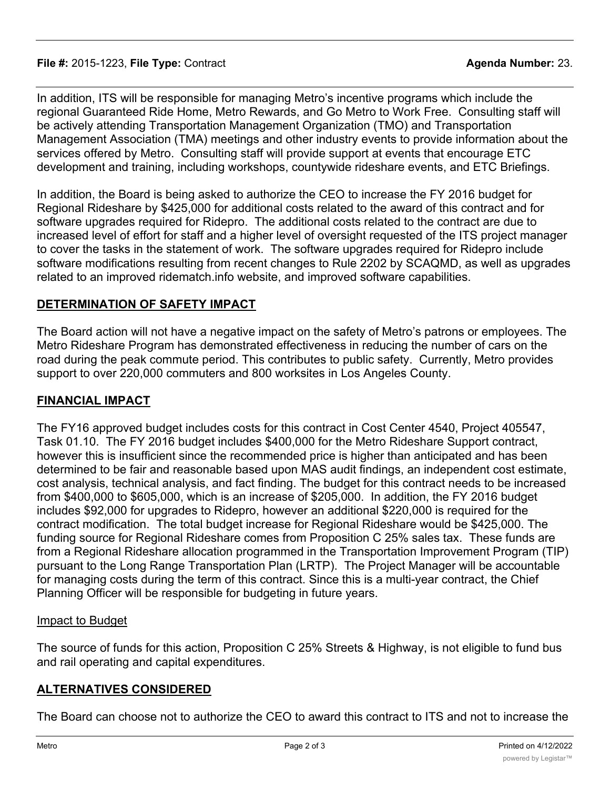#### **File #:** 2015-1223, **File Type:** Contract **Agenda Number:** 23.

In addition, ITS will be responsible for managing Metro's incentive programs which include the regional Guaranteed Ride Home, Metro Rewards, and Go Metro to Work Free. Consulting staff will be actively attending Transportation Management Organization (TMO) and Transportation Management Association (TMA) meetings and other industry events to provide information about the services offered by Metro. Consulting staff will provide support at events that encourage ETC development and training, including workshops, countywide rideshare events, and ETC Briefings.

In addition, the Board is being asked to authorize the CEO to increase the FY 2016 budget for Regional Rideshare by \$425,000 for additional costs related to the award of this contract and for software upgrades required for Ridepro. The additional costs related to the contract are due to increased level of effort for staff and a higher level of oversight requested of the ITS project manager to cover the tasks in the statement of work. The software upgrades required for Ridepro include software modifications resulting from recent changes to Rule 2202 by SCAQMD, as well as upgrades related to an improved ridematch.info website, and improved software capabilities.

### **DETERMINATION OF SAFETY IMPACT**

The Board action will not have a negative impact on the safety of Metro's patrons or employees. The Metro Rideshare Program has demonstrated effectiveness in reducing the number of cars on the road during the peak commute period. This contributes to public safety. Currently, Metro provides support to over 220,000 commuters and 800 worksites in Los Angeles County.

## **FINANCIAL IMPACT**

The FY16 approved budget includes costs for this contract in Cost Center 4540, Project 405547, Task 01.10. The FY 2016 budget includes \$400,000 for the Metro Rideshare Support contract, however this is insufficient since the recommended price is higher than anticipated and has been determined to be fair and reasonable based upon MAS audit findings, an independent cost estimate, cost analysis, technical analysis, and fact finding. The budget for this contract needs to be increased from \$400,000 to \$605,000, which is an increase of \$205,000. In addition, the FY 2016 budget includes \$92,000 for upgrades to Ridepro, however an additional \$220,000 is required for the contract modification. The total budget increase for Regional Rideshare would be \$425,000. The funding source for Regional Rideshare comes from Proposition C 25% sales tax. These funds are from a Regional Rideshare allocation programmed in the Transportation Improvement Program (TIP) pursuant to the Long Range Transportation Plan (LRTP). The Project Manager will be accountable for managing costs during the term of this contract. Since this is a multi-year contract, the Chief Planning Officer will be responsible for budgeting in future years.

### Impact to Budget

The source of funds for this action, Proposition C 25% Streets & Highway, is not eligible to fund bus and rail operating and capital expenditures.

### **ALTERNATIVES CONSIDERED**

The Board can choose not to authorize the CEO to award this contract to ITS and not to increase the